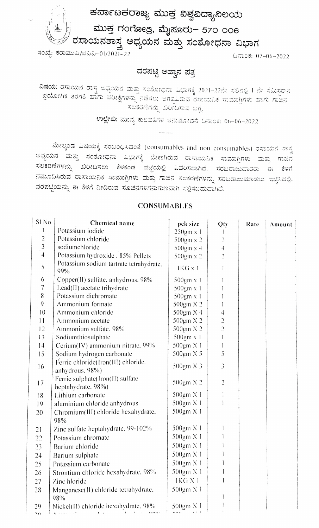ಕರ್ನಾಟಕರಾಜ್ಯ ಮುಕ್ತ ವಿಶ್ವವಿದ್ಯಾನಿಲಯ

ಮುಕ್ತ ಗಂಗೋತ್ರಿ, ಮೈಸೂರು– 570 ೦೦6 ್ಲಿನ್ಸ್ ರಸಾಯನಶಾಸ್ತ್ರ ಅಧ್ಯಯನ ಮತ್ತು ಸಂಶೋಧನಾ ವಿಭಾಗ<br>ಸಂಖ್ಯೆ ಕರಾಮುವಿ/ಪವಿವಿ–01/2021–22

## ದರಪಟ್ಟಿ ಆಹ್ವಾನ ಪತ್ರ

**ವಿಷಯ: ರಸಾಯ**ನ ಶಾಸ್ತ್ರ ಅಧ್ಯಯನ ಮತ್ತು ಸಂಶೋಧನಾ ವಿಭಾಗಕ್ಕೆ 2021–22ನೇ ಸಲಿನಲ್ಲಿ I ನೇ ಸೆಮಿಸ್ಟರ್**ನ**<br>- ಪಯೋಗಿಕ ತರಗತಿ ಹಾಗು ಪೋಕಿಸಲಾ <sup>ರ</sup>ಿಕೆಸಲು ರಾಜಕೀಯ ಸಂಗೀ ಪ್ರಯೋಗಿಕ ತರಗತಿ ಹಾಗು ಪರೀಕ್ಷೆಗಳನ್ನು ನಡೆಸಲು ಅಗತ್ಯವಿರುವ ರಸಾಯನಿಕ ಸಾಮಾಗ್ರಿಗಳು ಹಾಗು ಗಾಜನ - ಸಲಕರಣೆಗನ್ನು ಖರೀದಿಸುವ ಬಗ್ಗೆ.<br>ಉಲ್ಲೇಖ: ಮಾನ್ಯ ಕುಲಪತಿಗಳ ಅನುಮೋದನೆ ದಿನಾಂಕ: 06–06–2022

ಮೇಲ್ಕಿಂಡ ವಿಷಯಕ್ಕೆ ಸಂಬಂಧಿಸಿದಂತೆ (consumables and non consumables) ರಸಾಯನ ಶಾಸ್ತ್ರ<br>ಅಧ್ಯಯನ ಮತ್ತು ಸಂಶೋಧನಾ ವಿಭಾಗಕ್ಕೆ ಬೇಕಾಗಿರುವ ರಾಸಾಯನಿಕ ಸಾಮಾಗ್ರಿಗಳು ಮತ್ತು ಗಾಜಿನ ಸಲಕರಣೆಗಳನ್ನು ಖರೀದಿಸಲು ಕೆಳಕಂಡ ಪಟ್ಟಿಯಲ್ಲಿ ಎವರಿಸಲಾಗಿದೆ. ಸರಬರಾಜುದಾರರು ಈ ಕೆಳಗೆ ನಮೂದಿಸಿರುವ ರಾಸಾಯನಿಕ ಸಾಮಾಗ್ರಿಗಳು ಮತ್ತು ಗಾಜಿನ ಸಲಕರಣೆಗಳನ್ನು ಸರಬರಾಜುಮಾಡಲು ಇಚ್ಚಿಸಿದಲ್ಲಿ. ದರಪಟ್ಟಿಯನ್ನು ಈ ಕೆಳಗೆ ನೀಡಿರುವ ಸೂಚನೆಗಳಿಗನುಗುಣವಾಗಿ ಸಲ್ಲಿಸಬಹುದಾಗಿದೆ.

## **CONSUMABLES**

| SI <sub>No</sub> | Chemical name                                          | pek size                 | Qty            | Rate | Amount |
|------------------|--------------------------------------------------------|--------------------------|----------------|------|--------|
| 1                | Potassium iodide                                       | 250gm x 1                |                |      |        |
| $\overline{c}$   | Potassium chloride                                     | 500gm x 2                | $\supseteq$    |      |        |
| $\mathfrak{Z}$   | sodiumchloride                                         | $500 \text{gm} \times 4$ | $\overline{4}$ |      |        |
| $\overline{4}$   | Potassium hydroxide . 85% Pellets                      | 500gm x 2                | $\overline{a}$ |      |        |
| 5                | Potassium sodium tartrate tetrahydrate.<br>99%         | 1KG x 1                  |                |      |        |
| 6                | Copper(II) sulfate, anhydrous, 98%                     | 500gm x 1                |                |      |        |
| $\overline{7}$   | Lead(II) acetate trihydrate                            | $500 \text{gm} \times 1$ |                |      |        |
| $\,8$            | Potassium dichromate                                   | 500gm x 1                |                |      |        |
| 9                | Ammonium formate                                       | 500gm X 2                |                |      |        |
| 10               | Ammonium chloride                                      | $500 \text{gm} X4$       | 4              |      |        |
| 11               | Ammonium acetate                                       | 500gm X 2                | $\frac{1}{2}$  |      |        |
| 12               | Ammonium sulfate. 98%                                  | 500gm X 2                |                |      |        |
| 13               | Sodiumthiosulphate                                     | $500 \text{gm} \times 1$ |                |      |        |
| 14               | Cerium(IV) ammonium nitrate. 99%                       | 500gm X 1                |                |      |        |
| 15               | Sodium hydrogen carbonate                              | 500gm X 5                | 5              |      |        |
| 16               | Ferrie chloride(Iron(III) chloride.<br>anhydrous. 98%) | $500 \text{gm} \times 3$ | 3              |      |        |
| 17               | Ferric sulphate(Iron(II) sulfate<br>heptahydrate, 98%) | 500gm X 2                | C              |      |        |
| 18               | Lithium carbonate                                      | 500gm X 1                |                |      |        |
| 19               | aluminium chloride anhydrous                           | 500gm X 1                |                |      |        |
| 20               | Chromium(III) chloride hexahydrate.<br>98%             | 500gm X 1                |                |      |        |
| 21               | Zinc sulfate heptahydrate, 99-102%                     | 500gm X 1                |                |      |        |
| 22               | Potassium chromate                                     | 500gm X 1                |                |      |        |
| 23               | Barium chloride                                        | 500gm X 1                |                |      |        |
| 24               | Barium sulphate                                        | 500gm X 1                |                |      |        |
| 25               | Potassium carbonate                                    | 500gm X 1                |                |      |        |
| 26               | Strontium chloride hexalydrate, 98%                    | 500gm X 1                |                |      |        |
| 27               | Zine hloride                                           | IKG <sub>N</sub> 1       |                |      |        |
| 28               | Manganese(II) chloride tetrahydrate.                   | 500gm X 1                |                |      |        |
|                  | 98%                                                    |                          |                |      |        |
| 29               | Nickel(II) chloride hexahydrate, 98%                   | 500gm X 1                |                |      |        |